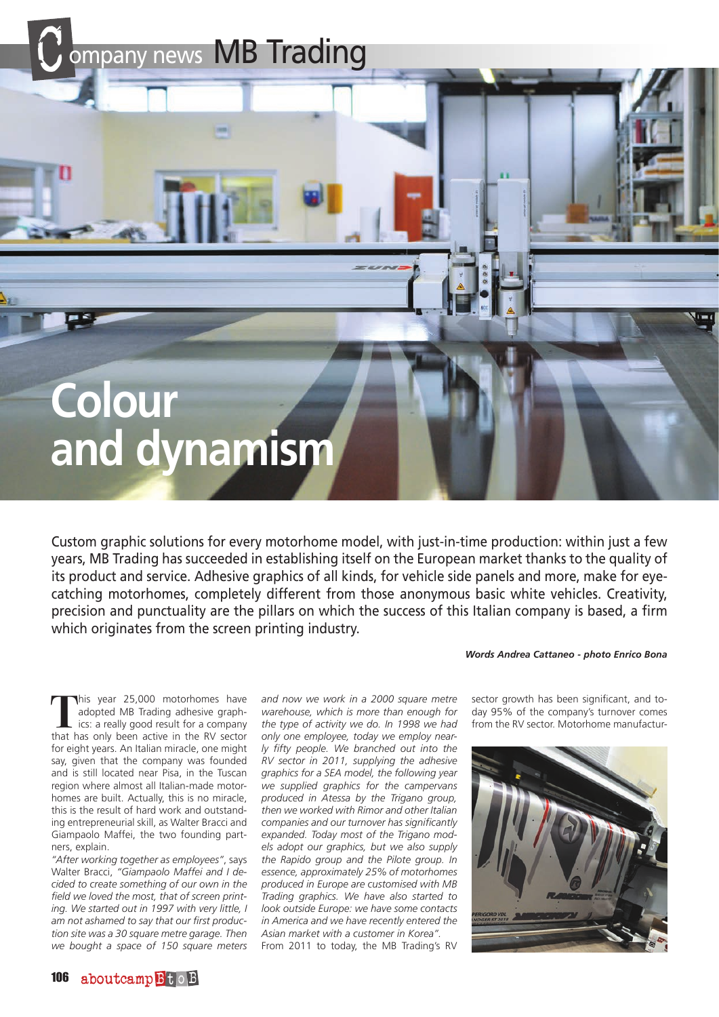ompany news MB Trading

## **Colour and dynamism**

Custom graphic solutions for every motorhome model, with just-in-time production: within just a few years, MB Trading has succeeded in establishing itself on the European market thanks to the quality of its product and service. Adhesive graphics of all kinds, for vehicle side panels and more, make for eyecatching motorhomes, completely different from those anonymous basic white vehicles. Creativity, precision and punctuality are the pillars on which the success of this Italian company is based, a firm which originates from the screen printing industry.

## *Words Andrea Cattaneo - photo Enrico Bona*

**T**his year 25,000 motorhomes have adopted MB Trading adhesive graphics: a really good result for a company that has only been active in the RV sector for eight years. An Italian miracle, one might say, given that the company was founded and is still located near Pisa, in the Tuscan region where almost all Italian-made motorhomes are built. Actually, this is no miracle, this is the result of hard work and outstanding entrepreneurial skill, as Walter Bracci and Giampaolo Maffei, the two founding partners, explain.

*"After working together as employees"*, says Walter Bracci, *"Giampaolo Maffei and I decided to create something of our own in the field we loved the most, that of screen printing. We started out in 1997 with very little, I am not ashamed to say that our first production site was a 30 square metre garage. Then we bought a space of 150 square meters* 

*and now we work in a 2000 square metre warehouse, which is more than enough for the type of activity we do. In 1998 we had only one employee, today we employ nearly fifty people. We branched out into the RV sector in 2011, supplying the adhesive graphics for a SEA model, the following year we supplied graphics for the campervans produced in Atessa by the Trigano group, then we worked with Rimor and other Italian companies and our turnover has significantly expanded. Today most of the Trigano models adopt our graphics, but we also supply the Rapido group and the Pilote group. In essence, approximately 25% of motorhomes produced in Europe are customised with MB Trading graphics. We have also started to look outside Europe: we have some contacts in America and we have recently entered the Asian market with a customer in Korea".* From 2011 to today, the MB Trading's RV

sector growth has been significant, and today 95% of the company's turnover comes from the RV sector. Motorhome manufactur-